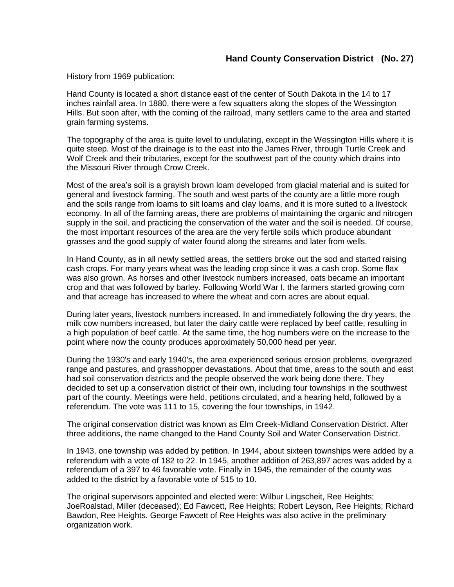## **Hand County Conservation District (No. 27)**

History from 1969 publication:

Hand County is located a short distance east of the center of South Dakota in the 14 to 17 inches rainfall area. In 1880, there were a few squatters along the slopes of the Wessington Hills. But soon after, with the coming of the railroad, many settlers came to the area and started grain farming systems.

The topography of the area is quite level to undulating, except in the Wessington Hills where it is quite steep. Most of the drainage is to the east into the James River, through Turtle Creek and Wolf Creek and their tributaries, except for the southwest part of the county which drains into the Missouri River through Crow Creek.

Most of the area's soil is a grayish brown loam developed from glacial material and is suited for general and livestock farming. The south and west parts of the county are a little more rough and the soils range from loams to silt loams and clay loams, and it is more suited to a livestock economy. In all of the farming areas, there are problems of maintaining the organic and nitrogen supply in the soil, and practicing the conservation of the water and the soil is needed. Of course, the most important resources of the area are the very fertile soils which produce abundant grasses and the good supply of water found along the streams and later from wells.

In Hand County, as in all newly settled areas, the settlers broke out the sod and started raising cash crops. For many years wheat was the leading crop since it was a cash crop. Some flax was also grown. As horses and other livestock numbers increased, oats became an important crop and that was followed by barley. Following World War I, the farmers started growing corn and that acreage has increased to where the wheat and corn acres are about equal.

During later years, livestock numbers increased. In and immediately following the dry years, the milk cow numbers increased, but later the dairy cattle were replaced by beef cattle, resulting in a high population of beef cattle. At the same time, the hog numbers were on the increase to the point where now the county produces approximately 50,000 head per year.

During the 1930's and early 1940's, the area experienced serious erosion problems, overgrazed range and pastures, and grasshopper devastations. About that time, areas to the south and east had soil conservation districts and the people observed the work being done there. They decided to set up a conservation district of their own, including four townships in the southwest part of the county. Meetings were held, petitions circulated, and a hearing held, followed by a referendum. The vote was 111 to 15, covering the four townships, in 1942.

The original conservation district was known as Elm Creek-Midland Conservation District. After three additions, the name changed to the Hand County Soil and Water Conservation District.

In 1943, one township was added by petition. In 1944, about sixteen townships were added by a referendum with a vote of 182 to 22. In 1945, another addition of 263,897 acres was added by a referendum of a 397 to 46 favorable vote. Finally in 1945, the remainder of the county was added to the district by a favorable vote of 515 to 10.

The original supervisors appointed and elected were: Wilbur Lingscheit, Ree Heights; JoeRoalstad, Miller (deceased); Ed Fawcett, Ree Heights; Robert Leyson, Ree Heights; Richard Bawdon, Ree Heights. George Fawcett of Ree Heights was also active in the preliminary organization work.